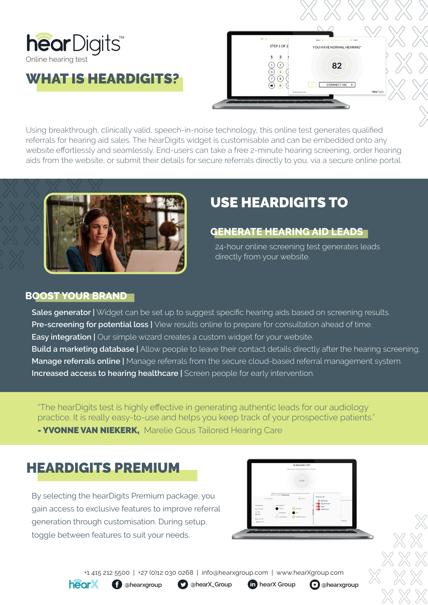

WHAT IS HEARDIGITS?



Using breakthrough, clinically valid, speech-in-noise technology, this online test generates qualified referrals for hearing aid sales. The hearDigits widget is customisable and can be embedded onto any website effortlessly and seamlessly. End-users can take a free 2-minute hearing screening, order hearing aids from the website, or submit their details for secure referrals directly to you, via a secure online portal.



# USE HEARDIGITS TO

#### **GENERATE HEARING AID LEADS**

24-hour online screening test generates leads directly from your website.

#### **BOOST YOUR BRAND**

**Sales generator** | Widget can be set up to suggest specific hearing aids based on screening results. **Pre-screening for potential loss** | View results online to prepare for consultation ahead of time. **Easy integration |** Our simple wizard creates a custom widget for your website. **Build a marketing database |** Allow people to leave their contact details directly after the hearing screening. **Manage referrals online |** Manage referrals from the secure cloud-based referral management system. **Increased access to hearing healthcare |** Screen people for early intervention.

"The hearDigits test is highly effective in generating authentic leads for our audiology practice. It is really easy-to-use and helps you keep track of your prospective patients."

**- YVONNE VAN NIEKERK, Marelie Gous Tailored Hearing Care** 

## HEARDIGITS PREMIUM

By selecting the hearDigits Premium package, you gain access to exclusive features to improve referral generation through customisation. During setup, toggle between features to suit your needs.



+1 415 212 5500 | +27 (0)12 030 0268 | info@hearxgroup.com | www.hearXgroup.com



**C** ahearxgroup **D** ahearX\_Group **in** hearX Group **c** ahearxgroup